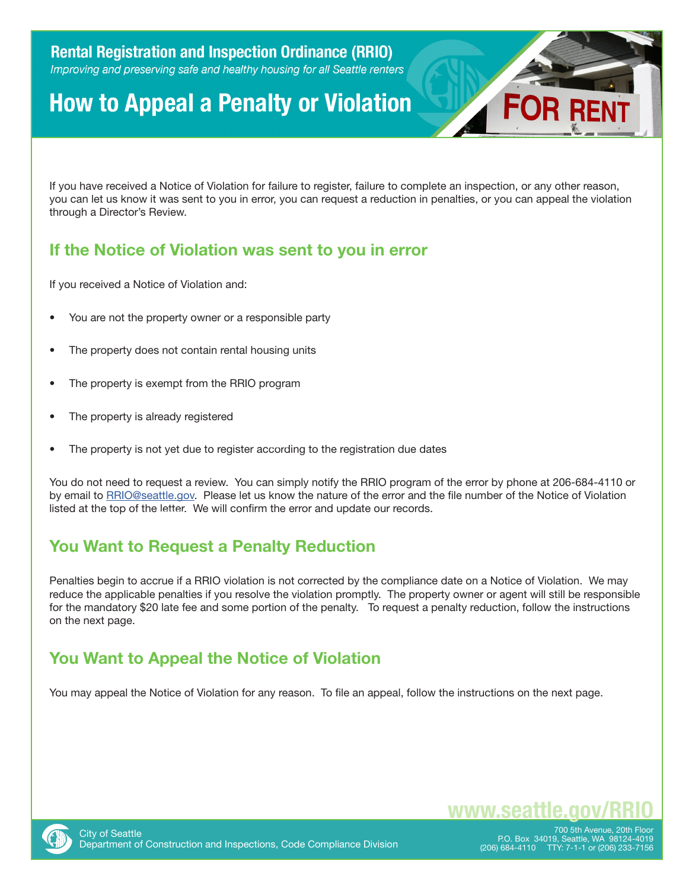# **How to Appeal a Penalty or Violation**



If you have received a Notice of Violation for failure to register, failure to complete an inspection, or any other reason, you can let us know it was sent to you in error, you can request a reduction in penalties, or you can appeal the violation through a Director's Review.

## **If the Notice of Violation was sent to you in error**

If you received a Notice of Violation and:

- You are not the property owner or a responsible party
- The property does not contain rental housing units
- The property is exempt from the RRIO program
- The property is already registered
- The property is not yet due to register according to the registration due dates

You do not need to request a review. You can simply notify the RRIO program of the error by phone at 206-684-4110 or by email to [RRIO@seattle.gov.](mailto:RRIO@seattle.gov) Please let us know the nature of the error and the file number of the Notice of Violation listed at the top of the letter. We will confirm the error and update our records.

### **You Want to Request a Penalty Reduction**

Penalties begin to accrue if a RRIO violation is not corrected by the compliance date on a Notice of Violation. We may reduce the applicable penalties if you resolve the violation promptly. The property owner or agent will still be responsible for the mandatory \$20 late fee and some portion of the penalty. To request a penalty reduction, follow the instructions on the next page.

### **You Want to Appeal the Notice of Violation**

You may appeal the Notice of Violation for any reason. To file an appeal, follow the instructions on the next page.



700 5th Avenue, 20th Floor P.O. Box 34019, Seattle, WA 98124-4019 (206) 684-4110 TTY: 7-1-1 or (206) 233-7156

**www.seattle.gov**